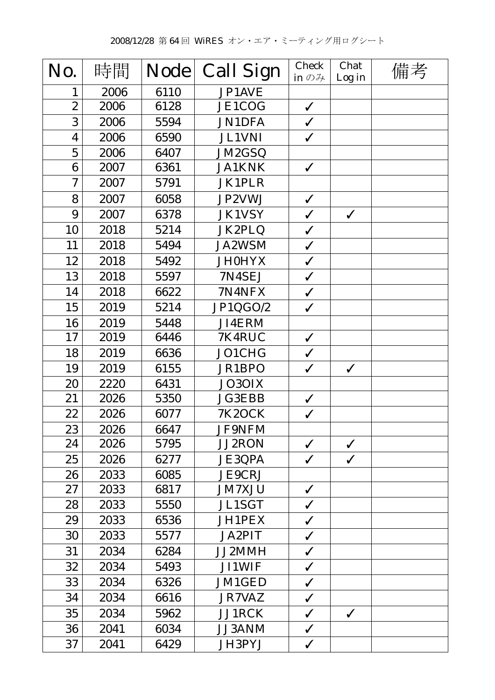| No.                     | 時間   | <b>Node</b> | <b>Call Sign</b> | <b>Check</b><br>in $\mathcal{D}$ $\mathcal{H}$ | Chat<br>Log in | 備考 |
|-------------------------|------|-------------|------------------|------------------------------------------------|----------------|----|
| 1                       | 2006 | 6110        | JP1AVE           |                                                |                |    |
| $\overline{2}$          | 2006 | 6128        | <b>JE1COG</b>    | $\checkmark$                                   |                |    |
| 3                       | 2006 | 5594        | <b>JN1DFA</b>    | $\checkmark$                                   |                |    |
| $\overline{\mathbf{4}}$ | 2006 | 6590        | <b>JL1VNI</b>    | $\checkmark$                                   |                |    |
| $\overline{5}$          | 2006 | 6407        | JM2GSQ           |                                                |                |    |
| 6                       | 2007 | 6361        | <b>JA1KNK</b>    | $\checkmark$                                   |                |    |
| $\overline{7}$          | 2007 | 5791        | <b>JK1PLR</b>    |                                                |                |    |
| 8                       | 2007 | 6058        | JP2VWJ           | $\checkmark$                                   |                |    |
| 9                       | 2007 | 6378        | <b>JK1VSY</b>    | $\checkmark$                                   | $\checkmark$   |    |
| 10                      | 2018 | 5214        | JK2PLQ           | $\checkmark$                                   |                |    |
| 11                      | 2018 | 5494        | <b>JA2WSM</b>    | $\checkmark$                                   |                |    |
| 12                      | 2018 | 5492        | <b>JH0HYX</b>    | $\checkmark$                                   |                |    |
| 13                      | 2018 | 5597        | 7N4SEJ           | $\checkmark$                                   |                |    |
| 14                      | 2018 | 6622        | 7N4NFX           | $\checkmark$                                   |                |    |
| 15                      | 2019 | 5214        | JP1QGO/2         | $\checkmark$                                   |                |    |
| 16                      | 2019 | 5448        | JI4ERM           |                                                |                |    |
| 17                      | 2019 | 6446        | 7K4RUC           | $\checkmark$                                   |                |    |
| 18                      | 2019 | 6636        | JO1CHG           | $\checkmark$                                   |                |    |
| 19                      | 2019 | 6155        | JR1BPO           | $\checkmark$                                   | $\checkmark$   |    |
| 20                      | 2220 | 6431        | JO3OIX           |                                                |                |    |
| 21                      | 2026 | 5350        | <b>JG3EBB</b>    | $\checkmark$                                   |                |    |
| 22                      | 2026 | 6077        | <b>7K2OCK</b>    | $\checkmark$                                   |                |    |
| 23                      | 2026 | 6647        | <b>JF9NFM</b>    |                                                |                |    |
| 24                      | 2026 | 5795        | <b>JJ2RON</b>    | $\checkmark$                                   | $\checkmark$   |    |
| 25                      | 2026 | 6277        | <b>JE3QPA</b>    | $\checkmark$                                   | $\checkmark$   |    |
| 26                      | 2033 | 6085        | <b>JE9CRJ</b>    |                                                |                |    |
| 27                      | 2033 | 6817        | <b>JM7XJU</b>    | $\checkmark$                                   |                |    |
| 28                      | 2033 | 5550        | <b>JL1SGT</b>    | $\checkmark$                                   |                |    |
| 29                      | 2033 | 6536        | JH1PEX           | $\checkmark$                                   |                |    |
| 30                      | 2033 | 5577        | <b>JA2PIT</b>    | $\checkmark$                                   |                |    |
| 31                      | 2034 | 6284        | JJ2MMH           | $\checkmark$                                   |                |    |
| 32                      | 2034 | 5493        | <b>JI1WIF</b>    | $\checkmark$                                   |                |    |
| 33                      | 2034 | 6326        | JM1GED           | $\checkmark$                                   |                |    |
| 34                      | 2034 | 6616        | <b>JR7VAZ</b>    | $\checkmark$                                   |                |    |
| 35                      | 2034 | 5962        | JJ1RCK           | $\checkmark$                                   | $\checkmark$   |    |
| 36                      | 2041 | 6034        | JJ3ANM           | $\checkmark$                                   |                |    |
| 37                      | 2041 | 6429        | JH3PYJ           | $\checkmark$                                   |                |    |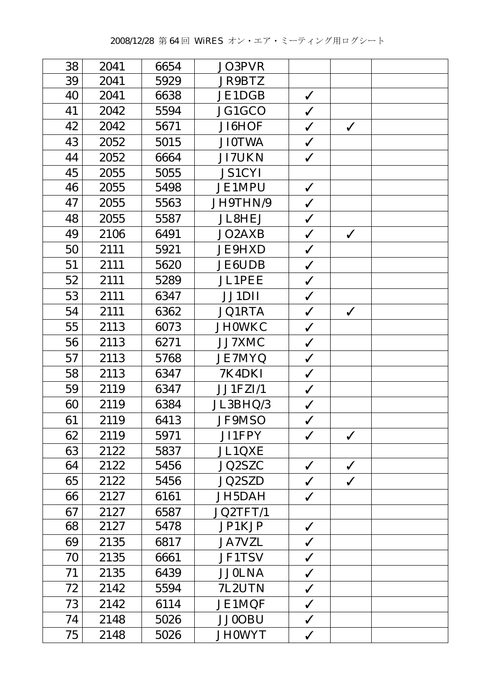| 38<br>2041<br>6654<br>JO3PVR<br>39<br>2041<br>5929<br><b>JR9BTZ</b><br>40<br>6638<br>JE1DGB<br>2041<br>$\checkmark$<br>41<br>2042<br>JG1GCO<br>5594<br>$\checkmark$<br>42<br>JI6HOF<br>2042<br>5671<br>$\checkmark$<br>$\checkmark$<br>43<br>5015<br><b>JI0TWA</b><br>2052<br>$\checkmark$<br>44<br>$\checkmark$<br>2052<br>6664<br><b>JI7UKN</b><br>45<br>2055<br>5055<br><b>JS1CYI</b><br>$\checkmark$<br>46<br>2055<br><b>JE1MPU</b><br>5498<br>$\checkmark$<br>47<br>JH9THN/9<br>2055<br>5563<br>48<br>2055<br><b>JL8HEJ</b><br>$\checkmark$<br>5587<br>49<br>2106<br>JO2AXB<br>6491<br>$\checkmark$<br>$\checkmark$<br><b>JE9HXD</b><br>50<br>2111<br>5921<br>$\checkmark$<br>51<br>5620<br><b>JE6UDB</b><br>$\checkmark$<br>2111<br>52<br><b>JL1PEE</b><br>2111<br>5289<br>$\checkmark$<br>53<br>JJ1DII<br>2111<br>6347<br>$\checkmark$<br>$\checkmark$<br>54<br>2111<br>6362<br><b>JQ1RTA</b><br>$\checkmark$<br>55<br>2113<br>$\checkmark$<br>6073<br><b>JH0WKC</b><br>56<br>2113<br>JJ7XMC<br>$\checkmark$<br>6271<br>57<br>2113<br>5768<br><b>JE7MYQ</b><br>$\checkmark$<br>58<br>2113<br>7K4DKI<br>6347<br>$\checkmark$<br>59<br>2119<br>JJ1FZI/1<br>6347<br>$\checkmark$<br>2119<br>JL3BHQ/3<br>60<br>6384<br>$\checkmark$<br>61<br>JF9MSO<br>2119<br>6413<br>$\checkmark$<br>2119<br>5971<br>62<br>JI1FPY<br>$\checkmark$<br>$\checkmark$<br>63<br><b>JL1QXE</b><br>2122<br>5837<br><b>JQ2SZC</b><br>64<br>2122<br>5456<br>$\checkmark$<br>$\checkmark$<br><b>JQ2SZD</b><br>65<br>2122<br>5456<br>$\checkmark$<br>$\checkmark$<br><b>JH5DAH</b><br>$\checkmark$<br>66<br>2127<br>6161<br>JQ2TFT/1<br>67<br>6587<br>2127<br>JP1KJP<br>68<br>5478<br>2127<br>$\checkmark$<br>69<br>2135<br><b>JA7VZL</b><br>$\checkmark$<br>6817<br>70<br>2135<br><b>JF1TSV</b><br>$\checkmark$<br>6661<br>2135<br>6439<br><b>JJ0LNA</b><br>71<br>$\checkmark$<br>72<br>7L2UTN<br>2142<br>5594<br>$\checkmark$<br>73<br><b>JE1MQF</b><br>2142<br>6114<br>$\checkmark$<br><b>JJ0OBU</b><br>74<br>2148<br>5026<br>$\checkmark$<br>$\checkmark$ |    |      |      |               |  |  |
|-----------------------------------------------------------------------------------------------------------------------------------------------------------------------------------------------------------------------------------------------------------------------------------------------------------------------------------------------------------------------------------------------------------------------------------------------------------------------------------------------------------------------------------------------------------------------------------------------------------------------------------------------------------------------------------------------------------------------------------------------------------------------------------------------------------------------------------------------------------------------------------------------------------------------------------------------------------------------------------------------------------------------------------------------------------------------------------------------------------------------------------------------------------------------------------------------------------------------------------------------------------------------------------------------------------------------------------------------------------------------------------------------------------------------------------------------------------------------------------------------------------------------------------------------------------------------------------------------------------------------------------------------------------------------------------------------------------------------------------------------------------------------------------------------------------------------------------------------------------------------------------------------------------------------------------------------------------------------------------------------------------------------------------------|----|------|------|---------------|--|--|
|                                                                                                                                                                                                                                                                                                                                                                                                                                                                                                                                                                                                                                                                                                                                                                                                                                                                                                                                                                                                                                                                                                                                                                                                                                                                                                                                                                                                                                                                                                                                                                                                                                                                                                                                                                                                                                                                                                                                                                                                                                         |    |      |      |               |  |  |
|                                                                                                                                                                                                                                                                                                                                                                                                                                                                                                                                                                                                                                                                                                                                                                                                                                                                                                                                                                                                                                                                                                                                                                                                                                                                                                                                                                                                                                                                                                                                                                                                                                                                                                                                                                                                                                                                                                                                                                                                                                         |    |      |      |               |  |  |
|                                                                                                                                                                                                                                                                                                                                                                                                                                                                                                                                                                                                                                                                                                                                                                                                                                                                                                                                                                                                                                                                                                                                                                                                                                                                                                                                                                                                                                                                                                                                                                                                                                                                                                                                                                                                                                                                                                                                                                                                                                         |    |      |      |               |  |  |
|                                                                                                                                                                                                                                                                                                                                                                                                                                                                                                                                                                                                                                                                                                                                                                                                                                                                                                                                                                                                                                                                                                                                                                                                                                                                                                                                                                                                                                                                                                                                                                                                                                                                                                                                                                                                                                                                                                                                                                                                                                         |    |      |      |               |  |  |
|                                                                                                                                                                                                                                                                                                                                                                                                                                                                                                                                                                                                                                                                                                                                                                                                                                                                                                                                                                                                                                                                                                                                                                                                                                                                                                                                                                                                                                                                                                                                                                                                                                                                                                                                                                                                                                                                                                                                                                                                                                         |    |      |      |               |  |  |
|                                                                                                                                                                                                                                                                                                                                                                                                                                                                                                                                                                                                                                                                                                                                                                                                                                                                                                                                                                                                                                                                                                                                                                                                                                                                                                                                                                                                                                                                                                                                                                                                                                                                                                                                                                                                                                                                                                                                                                                                                                         |    |      |      |               |  |  |
|                                                                                                                                                                                                                                                                                                                                                                                                                                                                                                                                                                                                                                                                                                                                                                                                                                                                                                                                                                                                                                                                                                                                                                                                                                                                                                                                                                                                                                                                                                                                                                                                                                                                                                                                                                                                                                                                                                                                                                                                                                         |    |      |      |               |  |  |
|                                                                                                                                                                                                                                                                                                                                                                                                                                                                                                                                                                                                                                                                                                                                                                                                                                                                                                                                                                                                                                                                                                                                                                                                                                                                                                                                                                                                                                                                                                                                                                                                                                                                                                                                                                                                                                                                                                                                                                                                                                         |    |      |      |               |  |  |
|                                                                                                                                                                                                                                                                                                                                                                                                                                                                                                                                                                                                                                                                                                                                                                                                                                                                                                                                                                                                                                                                                                                                                                                                                                                                                                                                                                                                                                                                                                                                                                                                                                                                                                                                                                                                                                                                                                                                                                                                                                         |    |      |      |               |  |  |
|                                                                                                                                                                                                                                                                                                                                                                                                                                                                                                                                                                                                                                                                                                                                                                                                                                                                                                                                                                                                                                                                                                                                                                                                                                                                                                                                                                                                                                                                                                                                                                                                                                                                                                                                                                                                                                                                                                                                                                                                                                         |    |      |      |               |  |  |
|                                                                                                                                                                                                                                                                                                                                                                                                                                                                                                                                                                                                                                                                                                                                                                                                                                                                                                                                                                                                                                                                                                                                                                                                                                                                                                                                                                                                                                                                                                                                                                                                                                                                                                                                                                                                                                                                                                                                                                                                                                         |    |      |      |               |  |  |
|                                                                                                                                                                                                                                                                                                                                                                                                                                                                                                                                                                                                                                                                                                                                                                                                                                                                                                                                                                                                                                                                                                                                                                                                                                                                                                                                                                                                                                                                                                                                                                                                                                                                                                                                                                                                                                                                                                                                                                                                                                         |    |      |      |               |  |  |
|                                                                                                                                                                                                                                                                                                                                                                                                                                                                                                                                                                                                                                                                                                                                                                                                                                                                                                                                                                                                                                                                                                                                                                                                                                                                                                                                                                                                                                                                                                                                                                                                                                                                                                                                                                                                                                                                                                                                                                                                                                         |    |      |      |               |  |  |
|                                                                                                                                                                                                                                                                                                                                                                                                                                                                                                                                                                                                                                                                                                                                                                                                                                                                                                                                                                                                                                                                                                                                                                                                                                                                                                                                                                                                                                                                                                                                                                                                                                                                                                                                                                                                                                                                                                                                                                                                                                         |    |      |      |               |  |  |
|                                                                                                                                                                                                                                                                                                                                                                                                                                                                                                                                                                                                                                                                                                                                                                                                                                                                                                                                                                                                                                                                                                                                                                                                                                                                                                                                                                                                                                                                                                                                                                                                                                                                                                                                                                                                                                                                                                                                                                                                                                         |    |      |      |               |  |  |
|                                                                                                                                                                                                                                                                                                                                                                                                                                                                                                                                                                                                                                                                                                                                                                                                                                                                                                                                                                                                                                                                                                                                                                                                                                                                                                                                                                                                                                                                                                                                                                                                                                                                                                                                                                                                                                                                                                                                                                                                                                         |    |      |      |               |  |  |
|                                                                                                                                                                                                                                                                                                                                                                                                                                                                                                                                                                                                                                                                                                                                                                                                                                                                                                                                                                                                                                                                                                                                                                                                                                                                                                                                                                                                                                                                                                                                                                                                                                                                                                                                                                                                                                                                                                                                                                                                                                         |    |      |      |               |  |  |
|                                                                                                                                                                                                                                                                                                                                                                                                                                                                                                                                                                                                                                                                                                                                                                                                                                                                                                                                                                                                                                                                                                                                                                                                                                                                                                                                                                                                                                                                                                                                                                                                                                                                                                                                                                                                                                                                                                                                                                                                                                         |    |      |      |               |  |  |
|                                                                                                                                                                                                                                                                                                                                                                                                                                                                                                                                                                                                                                                                                                                                                                                                                                                                                                                                                                                                                                                                                                                                                                                                                                                                                                                                                                                                                                                                                                                                                                                                                                                                                                                                                                                                                                                                                                                                                                                                                                         |    |      |      |               |  |  |
|                                                                                                                                                                                                                                                                                                                                                                                                                                                                                                                                                                                                                                                                                                                                                                                                                                                                                                                                                                                                                                                                                                                                                                                                                                                                                                                                                                                                                                                                                                                                                                                                                                                                                                                                                                                                                                                                                                                                                                                                                                         |    |      |      |               |  |  |
|                                                                                                                                                                                                                                                                                                                                                                                                                                                                                                                                                                                                                                                                                                                                                                                                                                                                                                                                                                                                                                                                                                                                                                                                                                                                                                                                                                                                                                                                                                                                                                                                                                                                                                                                                                                                                                                                                                                                                                                                                                         |    |      |      |               |  |  |
|                                                                                                                                                                                                                                                                                                                                                                                                                                                                                                                                                                                                                                                                                                                                                                                                                                                                                                                                                                                                                                                                                                                                                                                                                                                                                                                                                                                                                                                                                                                                                                                                                                                                                                                                                                                                                                                                                                                                                                                                                                         |    |      |      |               |  |  |
|                                                                                                                                                                                                                                                                                                                                                                                                                                                                                                                                                                                                                                                                                                                                                                                                                                                                                                                                                                                                                                                                                                                                                                                                                                                                                                                                                                                                                                                                                                                                                                                                                                                                                                                                                                                                                                                                                                                                                                                                                                         |    |      |      |               |  |  |
|                                                                                                                                                                                                                                                                                                                                                                                                                                                                                                                                                                                                                                                                                                                                                                                                                                                                                                                                                                                                                                                                                                                                                                                                                                                                                                                                                                                                                                                                                                                                                                                                                                                                                                                                                                                                                                                                                                                                                                                                                                         |    |      |      |               |  |  |
|                                                                                                                                                                                                                                                                                                                                                                                                                                                                                                                                                                                                                                                                                                                                                                                                                                                                                                                                                                                                                                                                                                                                                                                                                                                                                                                                                                                                                                                                                                                                                                                                                                                                                                                                                                                                                                                                                                                                                                                                                                         |    |      |      |               |  |  |
|                                                                                                                                                                                                                                                                                                                                                                                                                                                                                                                                                                                                                                                                                                                                                                                                                                                                                                                                                                                                                                                                                                                                                                                                                                                                                                                                                                                                                                                                                                                                                                                                                                                                                                                                                                                                                                                                                                                                                                                                                                         |    |      |      |               |  |  |
|                                                                                                                                                                                                                                                                                                                                                                                                                                                                                                                                                                                                                                                                                                                                                                                                                                                                                                                                                                                                                                                                                                                                                                                                                                                                                                                                                                                                                                                                                                                                                                                                                                                                                                                                                                                                                                                                                                                                                                                                                                         |    |      |      |               |  |  |
|                                                                                                                                                                                                                                                                                                                                                                                                                                                                                                                                                                                                                                                                                                                                                                                                                                                                                                                                                                                                                                                                                                                                                                                                                                                                                                                                                                                                                                                                                                                                                                                                                                                                                                                                                                                                                                                                                                                                                                                                                                         |    |      |      |               |  |  |
|                                                                                                                                                                                                                                                                                                                                                                                                                                                                                                                                                                                                                                                                                                                                                                                                                                                                                                                                                                                                                                                                                                                                                                                                                                                                                                                                                                                                                                                                                                                                                                                                                                                                                                                                                                                                                                                                                                                                                                                                                                         |    |      |      |               |  |  |
|                                                                                                                                                                                                                                                                                                                                                                                                                                                                                                                                                                                                                                                                                                                                                                                                                                                                                                                                                                                                                                                                                                                                                                                                                                                                                                                                                                                                                                                                                                                                                                                                                                                                                                                                                                                                                                                                                                                                                                                                                                         |    |      |      |               |  |  |
|                                                                                                                                                                                                                                                                                                                                                                                                                                                                                                                                                                                                                                                                                                                                                                                                                                                                                                                                                                                                                                                                                                                                                                                                                                                                                                                                                                                                                                                                                                                                                                                                                                                                                                                                                                                                                                                                                                                                                                                                                                         |    |      |      |               |  |  |
|                                                                                                                                                                                                                                                                                                                                                                                                                                                                                                                                                                                                                                                                                                                                                                                                                                                                                                                                                                                                                                                                                                                                                                                                                                                                                                                                                                                                                                                                                                                                                                                                                                                                                                                                                                                                                                                                                                                                                                                                                                         |    |      |      |               |  |  |
|                                                                                                                                                                                                                                                                                                                                                                                                                                                                                                                                                                                                                                                                                                                                                                                                                                                                                                                                                                                                                                                                                                                                                                                                                                                                                                                                                                                                                                                                                                                                                                                                                                                                                                                                                                                                                                                                                                                                                                                                                                         |    |      |      |               |  |  |
|                                                                                                                                                                                                                                                                                                                                                                                                                                                                                                                                                                                                                                                                                                                                                                                                                                                                                                                                                                                                                                                                                                                                                                                                                                                                                                                                                                                                                                                                                                                                                                                                                                                                                                                                                                                                                                                                                                                                                                                                                                         |    |      |      |               |  |  |
|                                                                                                                                                                                                                                                                                                                                                                                                                                                                                                                                                                                                                                                                                                                                                                                                                                                                                                                                                                                                                                                                                                                                                                                                                                                                                                                                                                                                                                                                                                                                                                                                                                                                                                                                                                                                                                                                                                                                                                                                                                         |    |      |      |               |  |  |
|                                                                                                                                                                                                                                                                                                                                                                                                                                                                                                                                                                                                                                                                                                                                                                                                                                                                                                                                                                                                                                                                                                                                                                                                                                                                                                                                                                                                                                                                                                                                                                                                                                                                                                                                                                                                                                                                                                                                                                                                                                         |    |      |      |               |  |  |
|                                                                                                                                                                                                                                                                                                                                                                                                                                                                                                                                                                                                                                                                                                                                                                                                                                                                                                                                                                                                                                                                                                                                                                                                                                                                                                                                                                                                                                                                                                                                                                                                                                                                                                                                                                                                                                                                                                                                                                                                                                         |    |      |      |               |  |  |
|                                                                                                                                                                                                                                                                                                                                                                                                                                                                                                                                                                                                                                                                                                                                                                                                                                                                                                                                                                                                                                                                                                                                                                                                                                                                                                                                                                                                                                                                                                                                                                                                                                                                                                                                                                                                                                                                                                                                                                                                                                         | 75 | 2148 | 5026 | <b>JHOWYT</b> |  |  |